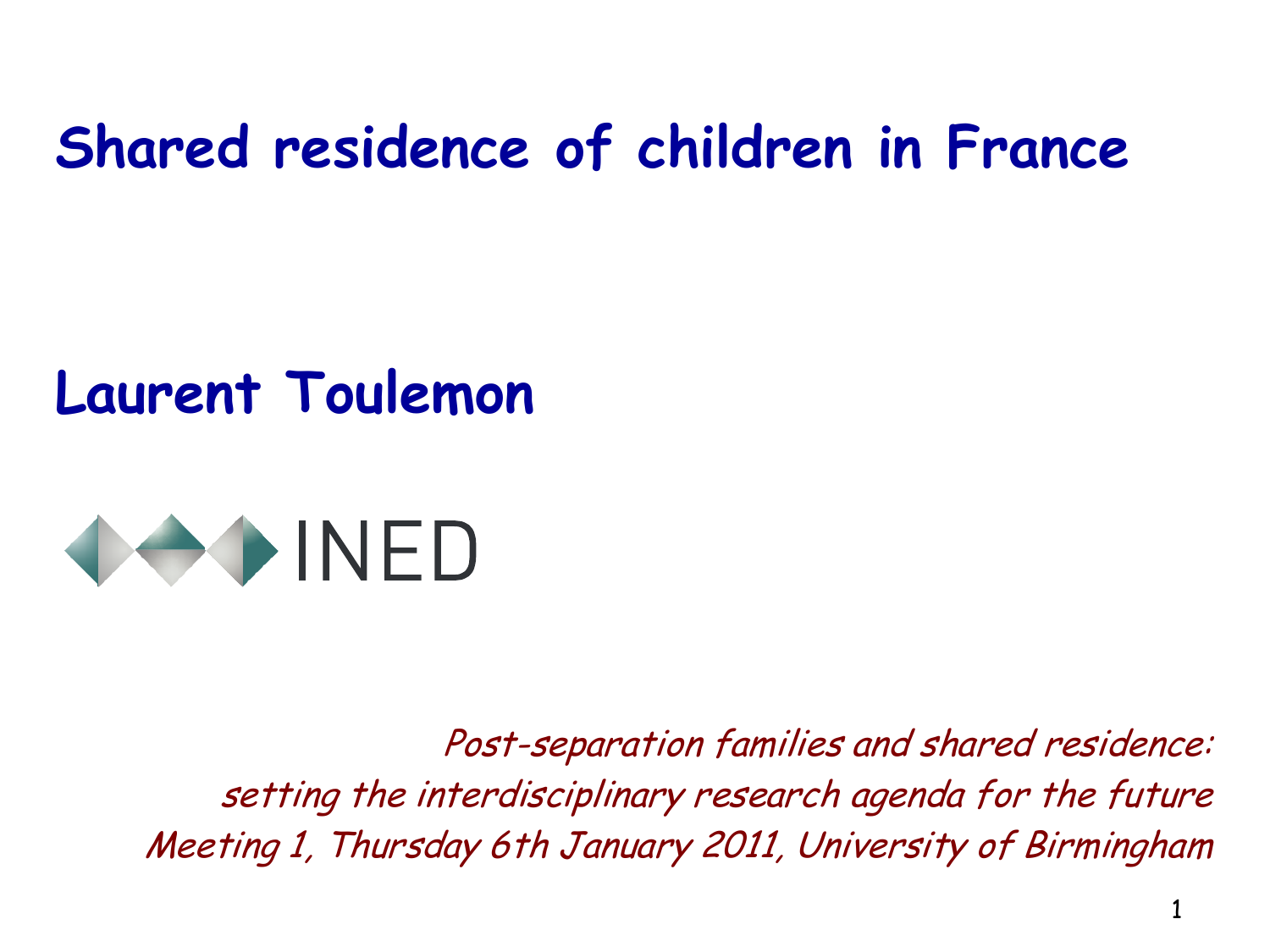### **Shared residence of children in France**

### **Laurent Toulemon**



Post-separation families and shared residence: setting the interdisciplinary research agenda for the future Meeting 1, Thursday 6th January 2011, University of Birmingham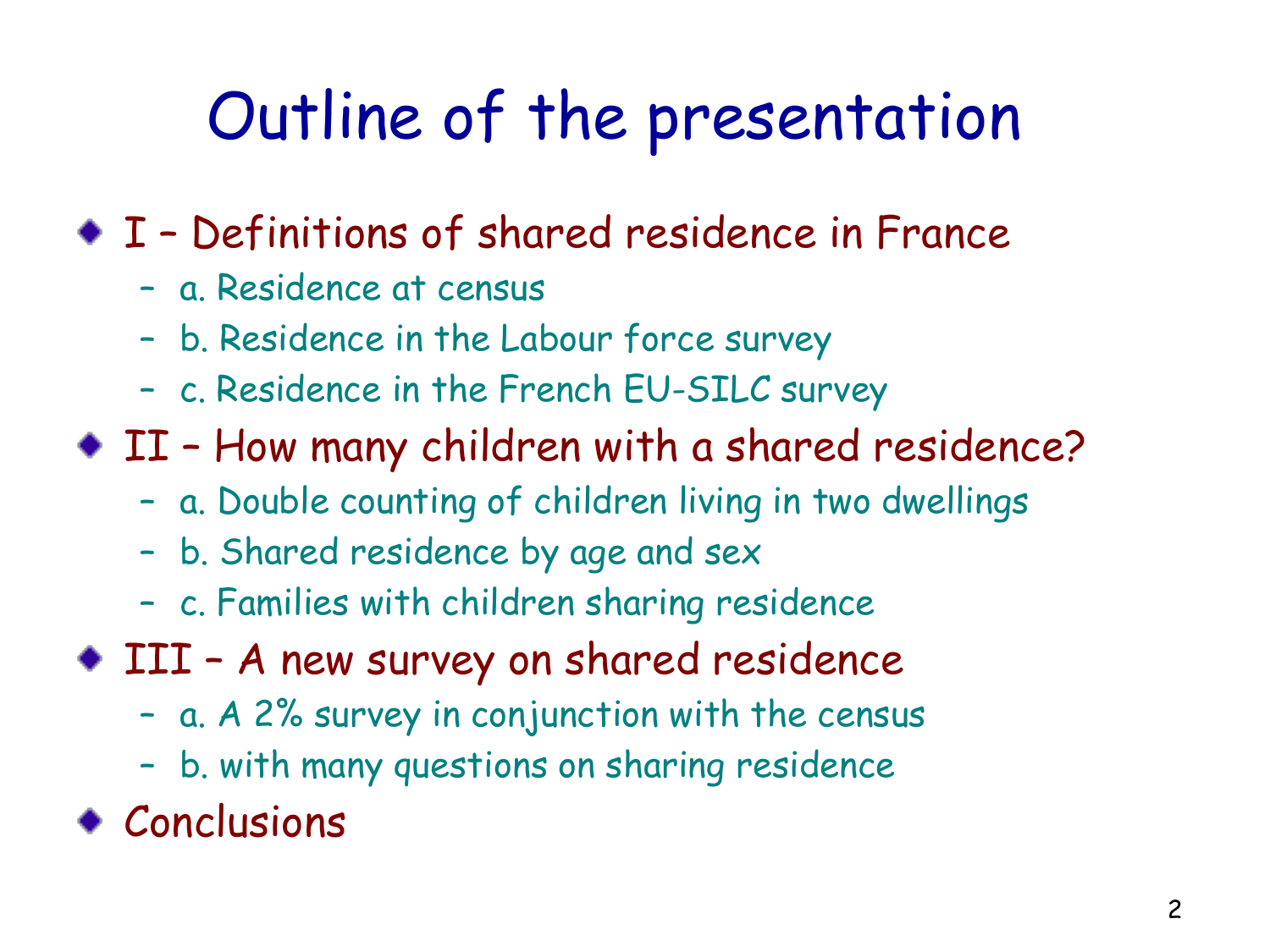## Outline of the presentation

I – Definitions of shared residence in France

- a. Residence at census
- b. Residence in the Labour force survey
- c. Residence in the French EU-SILC survey
- II How many children with a shared residence?
	- a. Double counting of children living in two dwellings
	- b. Shared residence by age and sex
	- c. Families with children sharing residence
- III A new survey on shared residence
	- a. A 2% survey in conjunction with the census
	- b. with many questions on sharing residence
- Conclusions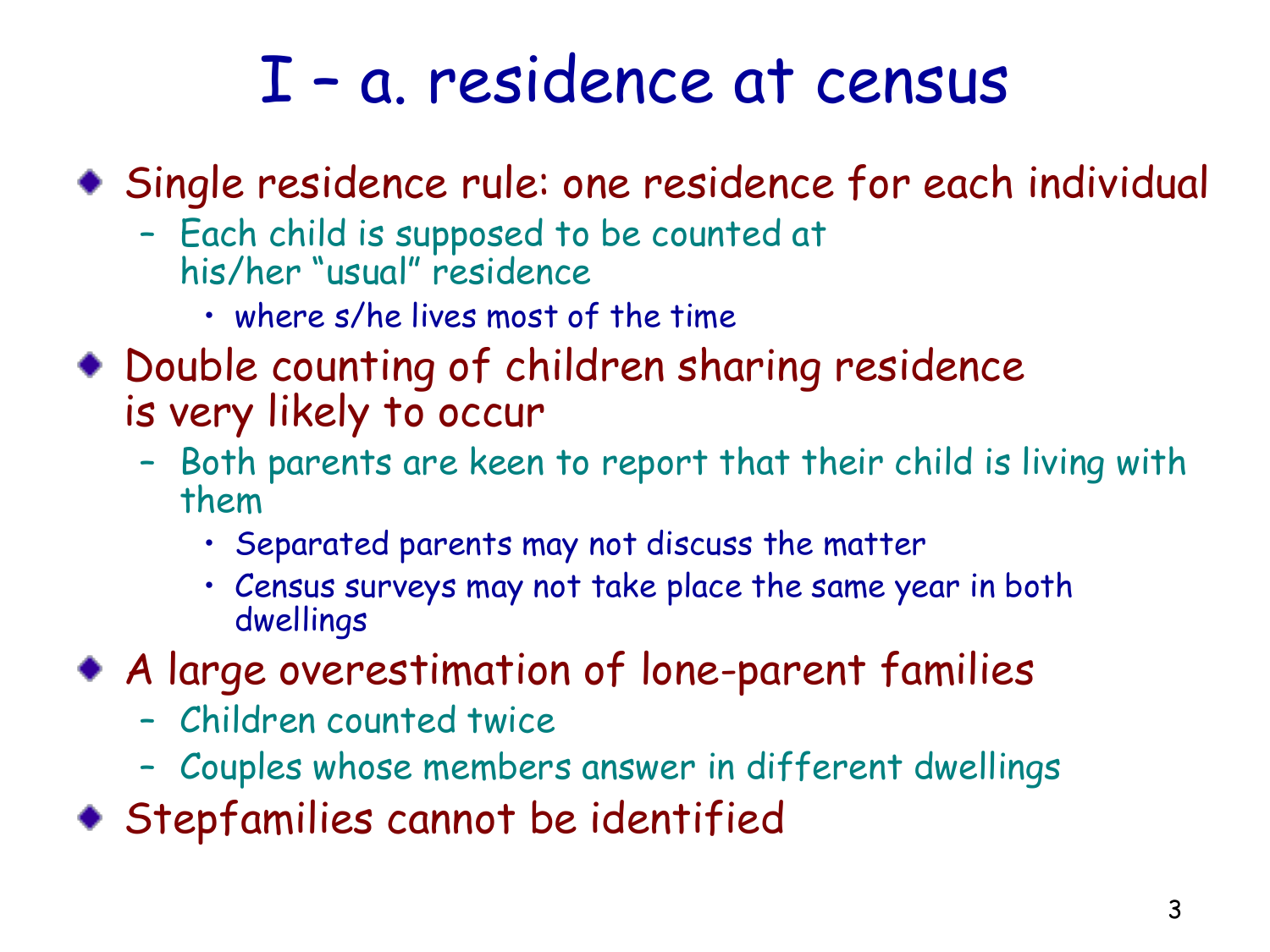### I – a. residence at census

Single residence rule: one residence for each individual

- Each child is supposed to be counted at his/her "usual" residence
	- where s/he lives most of the time
- Double counting of children sharing residence is very likely to occur
	- Both parents are keen to report that their child is living with them
		- Separated parents may not discuss the matter
		- Census surveys may not take place the same year in both dwellings
- A large overestimation of lone-parent families
	- Children counted twice
	- Couples whose members answer in different dwellings
- Stepfamilies cannot be identified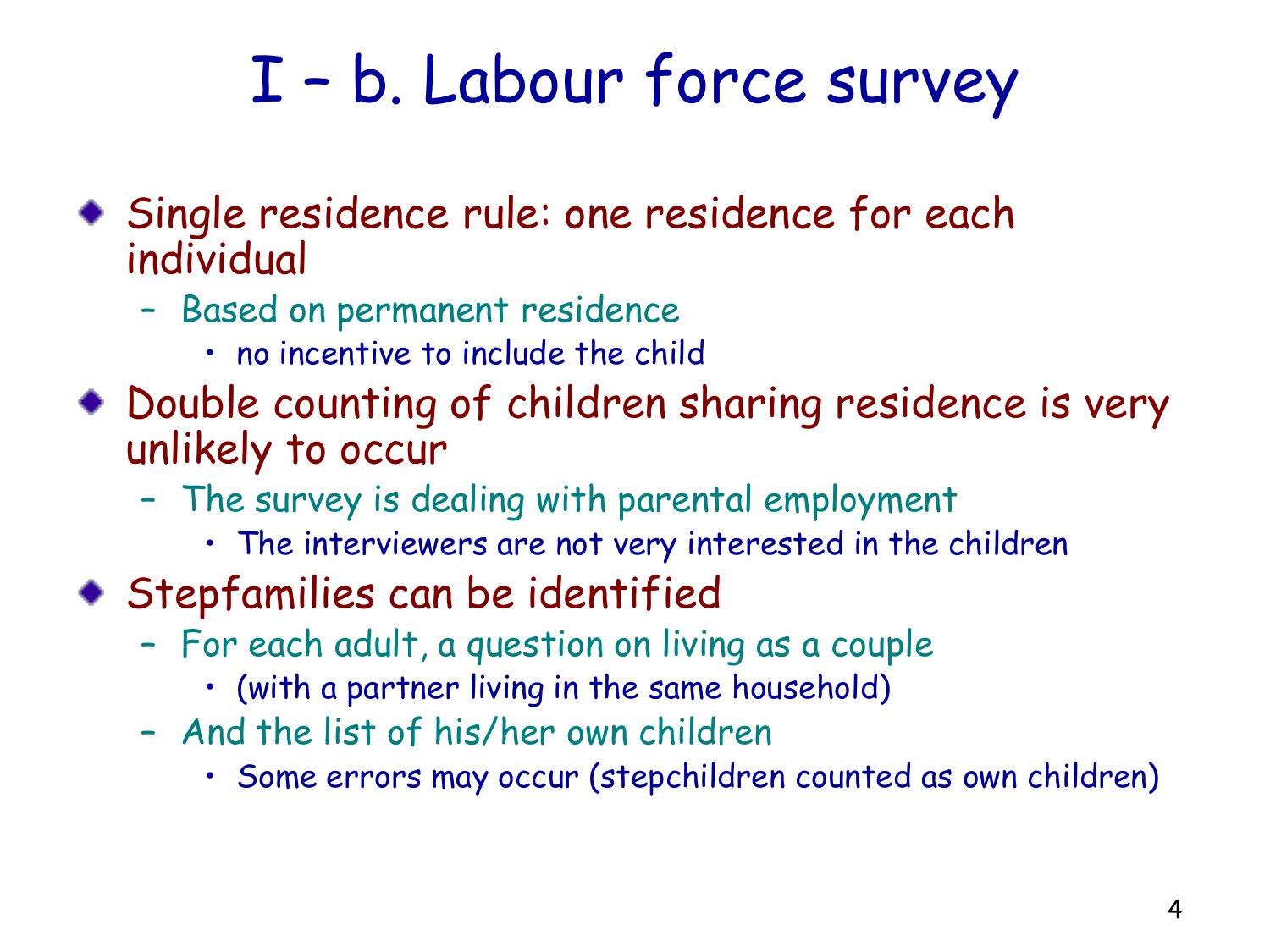## I – b. Labour force survey

- Single residence rule: one residence for each individual
	- Based on permanent residence
		- no incentive to include the child
- Double counting of children sharing residence is very unlikely to occur
	- The survey is dealing with parental employment
		- The interviewers are not very interested in the children
- Stepfamilies can be identified
	- For each adult, a question on living as a couple
		- (with a partner living in the same household)
	- And the list of his/her own children
		- Some errors may occur (stepchildren counted as own children)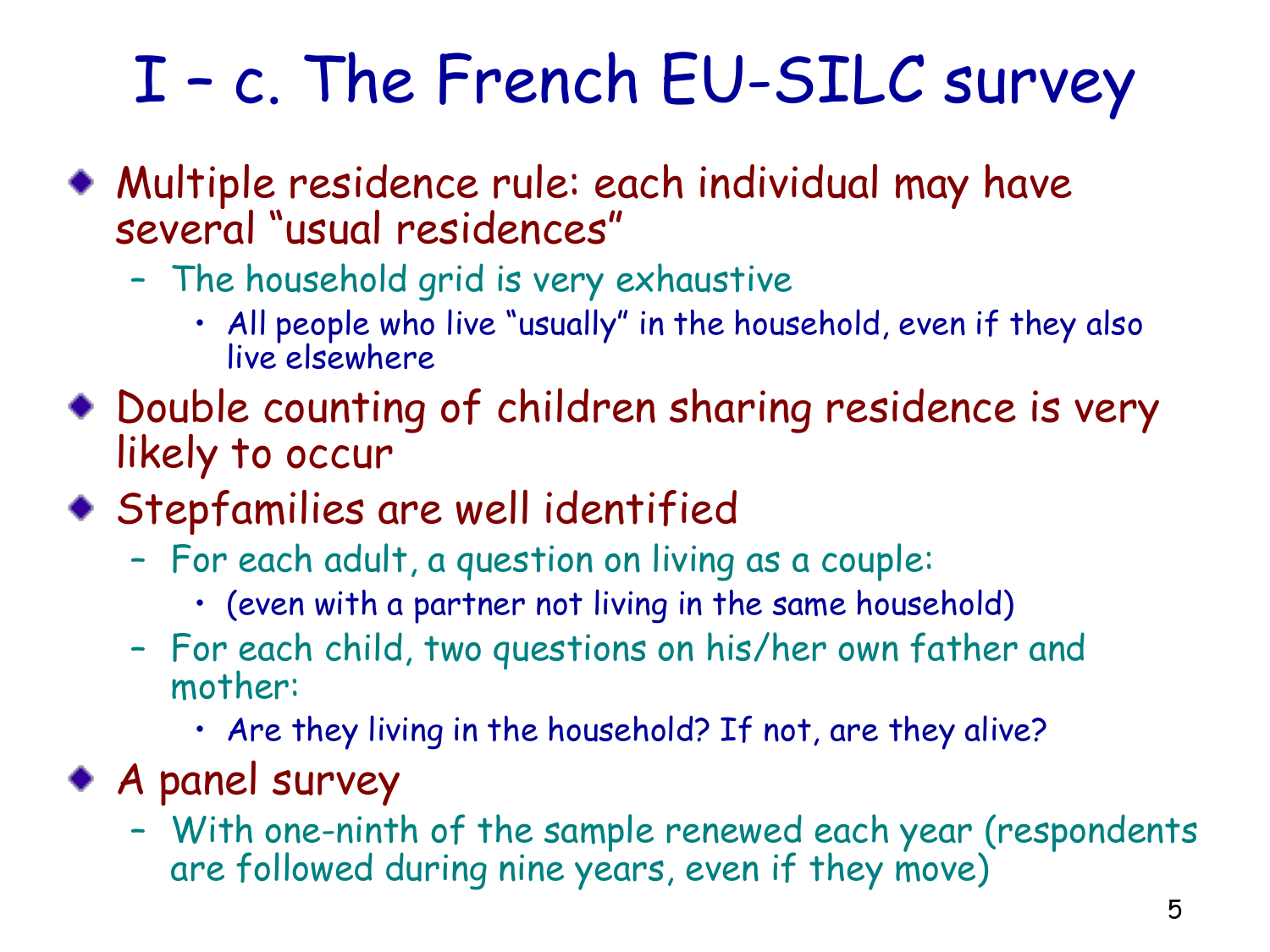# I – c. The French EU-SILC survey

- Multiple residence rule: each individual may have several "usual residences"
	- The household grid is very exhaustive
		- All people who live "usually" in the household, even if they also live elsewhere
- Double counting of children sharing residence is very likely to occur
- Stepfamilies are well identified
	- For each adult, a question on living as a couple:
		- (even with a partner not living in the same household)
	- For each child, two questions on his/her own father and mother:
		- Are they living in the household? If not, are they alive?
- A panel survey
	- With one-ninth of the sample renewed each year (respondents are followed during nine years, even if they move)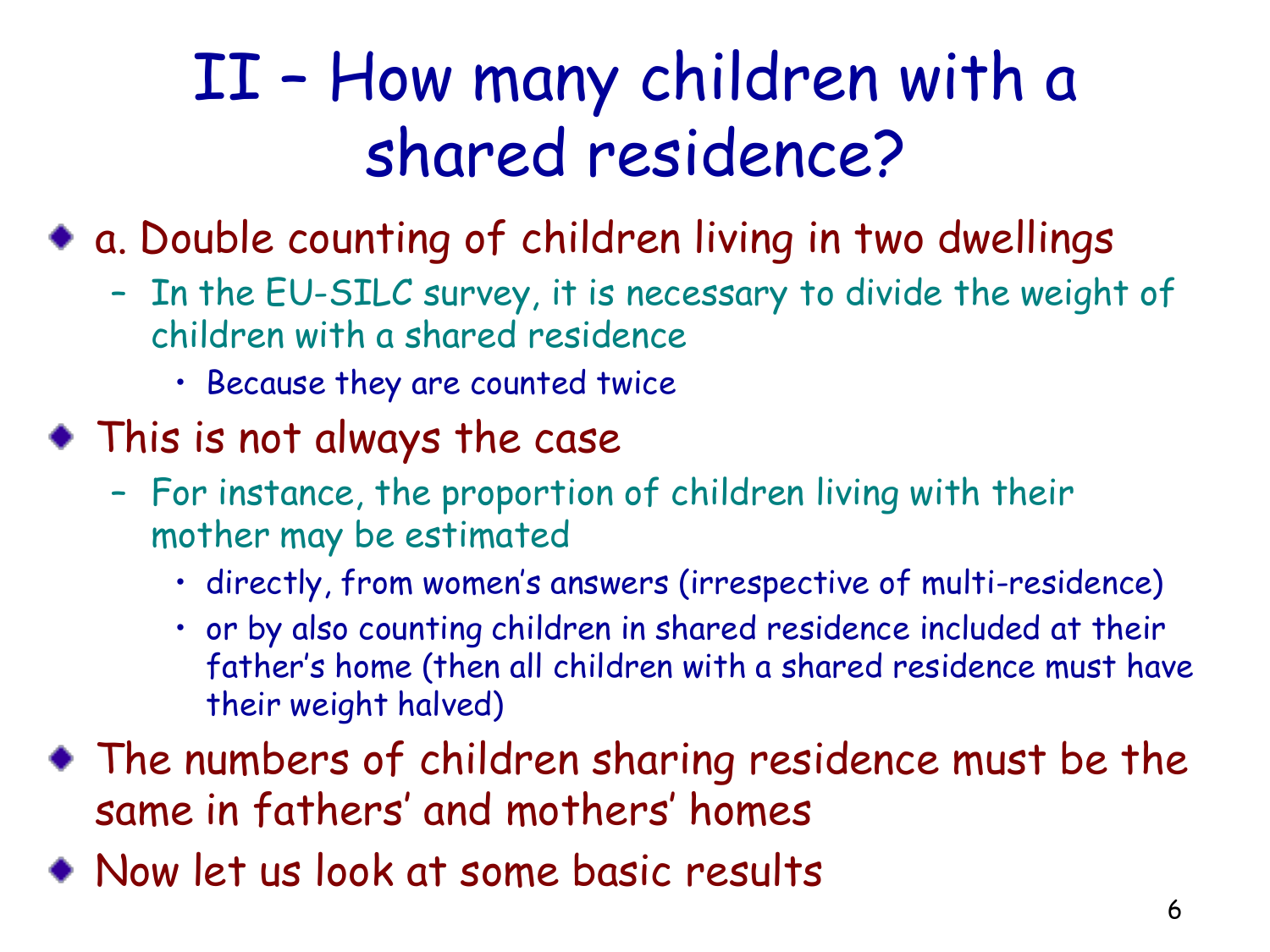## II – How many children with a shared residence?

a. Double counting of children living in two dwellings

- In the EU-SILC survey, it is necessary to divide the weight of children with a shared residence
	- Because they are counted twice
- This is not always the case
	- For instance, the proportion of children living with their mother may be estimated
		- directly, from women's answers (irrespective of multi-residence)
		- or by also counting children in shared residence included at their father's home (then all children with a shared residence must have their weight halved)
- The numbers of children sharing residence must be the same in fathers' and mothers' homes
- Now let us look at some basic results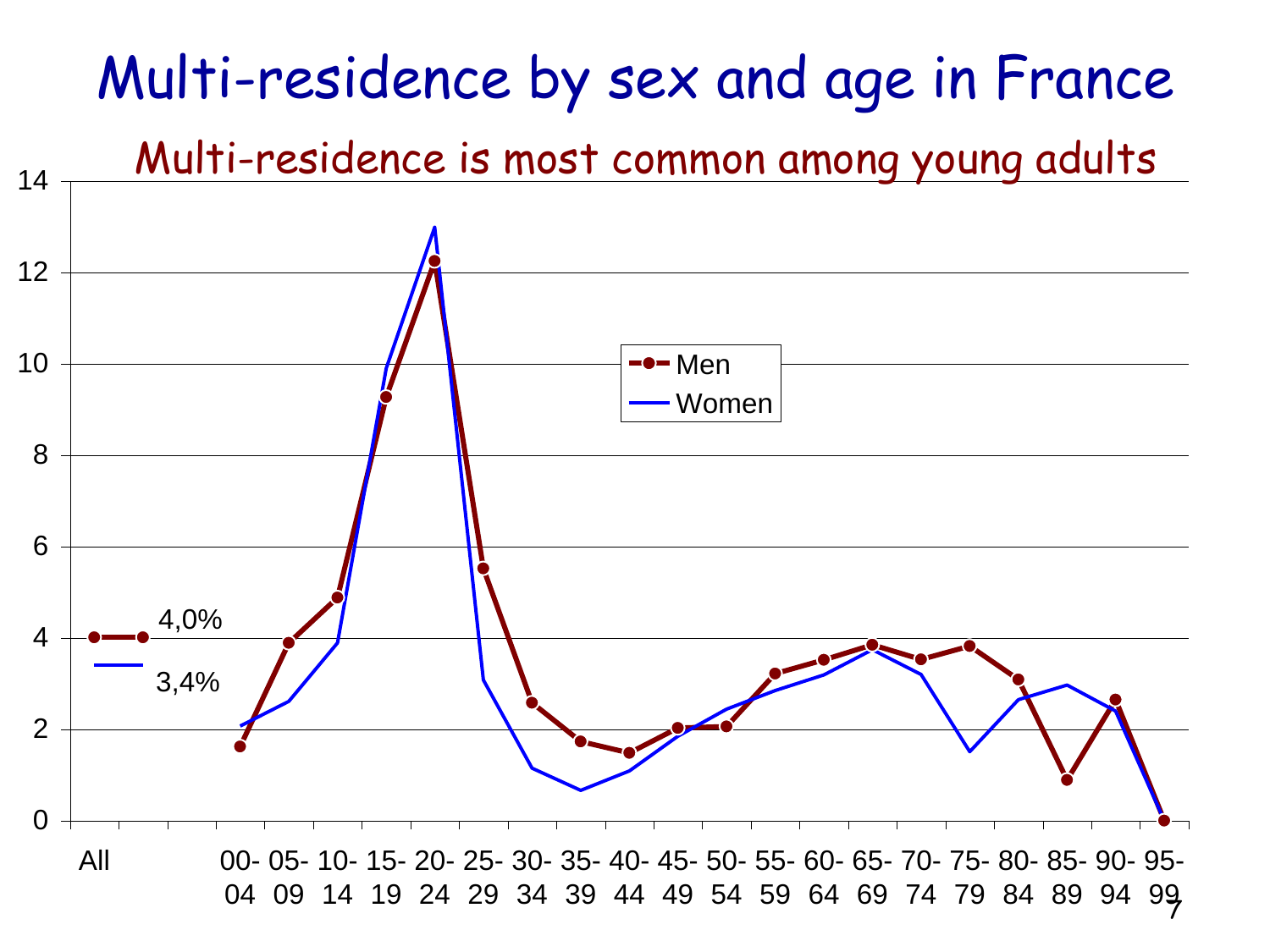### Multi-residence by sex and age in France

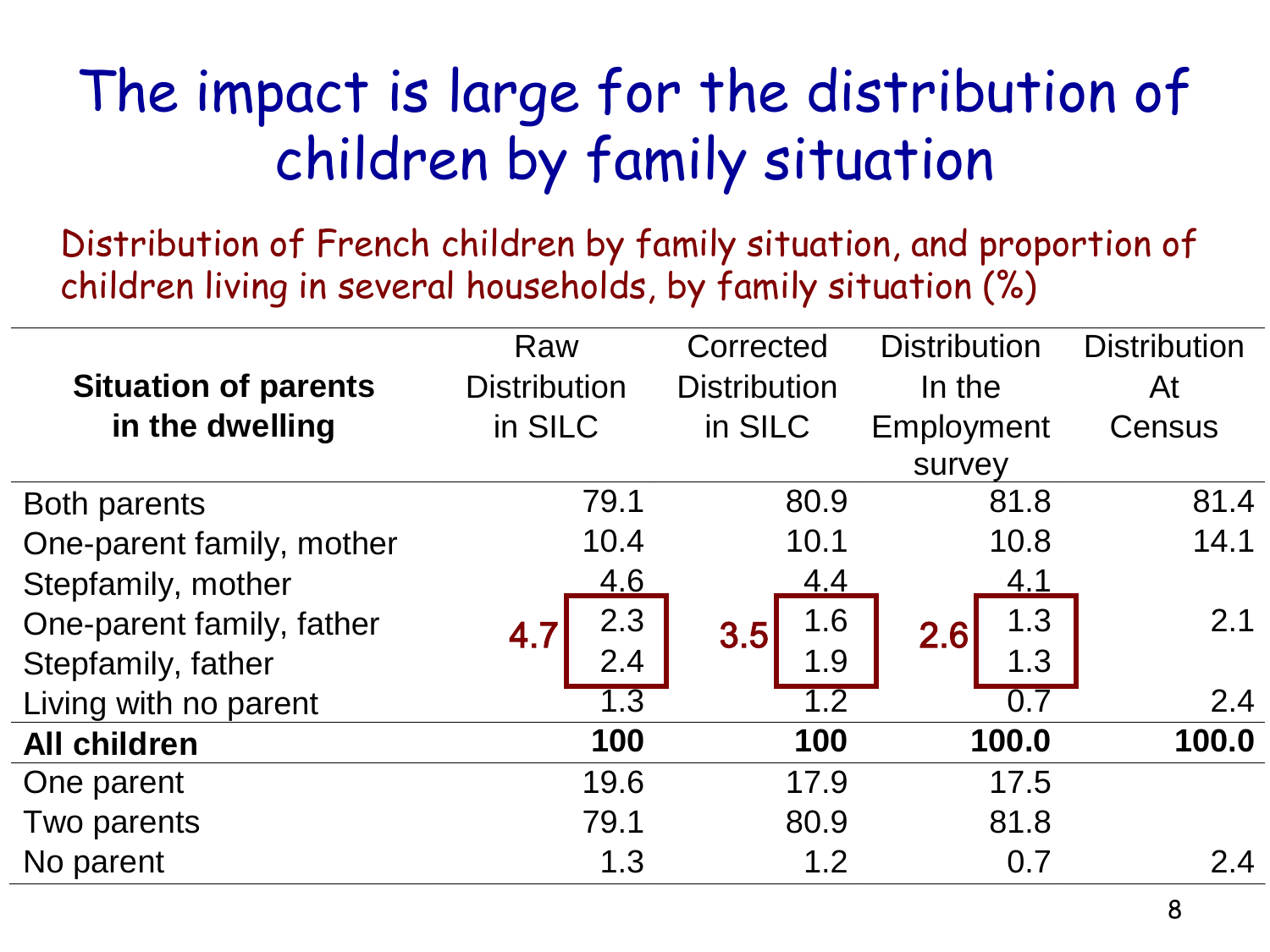### The impact is large for the distribution of children by family situation

Distribution of French children by family situation, and proportion of children living in several households, by family situation (%)

|                             | Raw                 | Corrected           | <b>Distribution</b> | <b>Distribution</b> |
|-----------------------------|---------------------|---------------------|---------------------|---------------------|
| <b>Situation of parents</b> | <b>Distribution</b> | <b>Distribution</b> | In the              | At                  |
| in the dwelling             | in SILC             | in SILC             | Employment          | Census              |
|                             |                     |                     | survey              |                     |
| Both parents                | 79.1                | 80.9                | 81.8                | 81.4                |
| One-parent family, mother   | 10.4                | 10.1                | 10.8                | 14.1                |
| Stepfamily, mother          | 4.6                 | <u>4.4</u>          | 4.1                 |                     |
| One-parent family, father   | 2.3<br>4.7          | 1.6<br>3.5          | 1.3<br>2.6          | 2.1                 |
| Stepfamily, father          | 2.4                 | 1.9                 | 1.3                 |                     |
| Living with no parent       | $\overline{1.3}$    | 1.2                 | 0.7                 | 2.4                 |
| <b>All children</b>         | 100                 | 100                 | 100.0               | 100.0               |
| One parent                  | 19.6                | 17.9                | 17.5                |                     |
| Two parents                 | 79.1                | 80.9                | 81.8                |                     |
| No parent                   | 1.3                 | 1.2                 | 0.7                 | 2.4                 |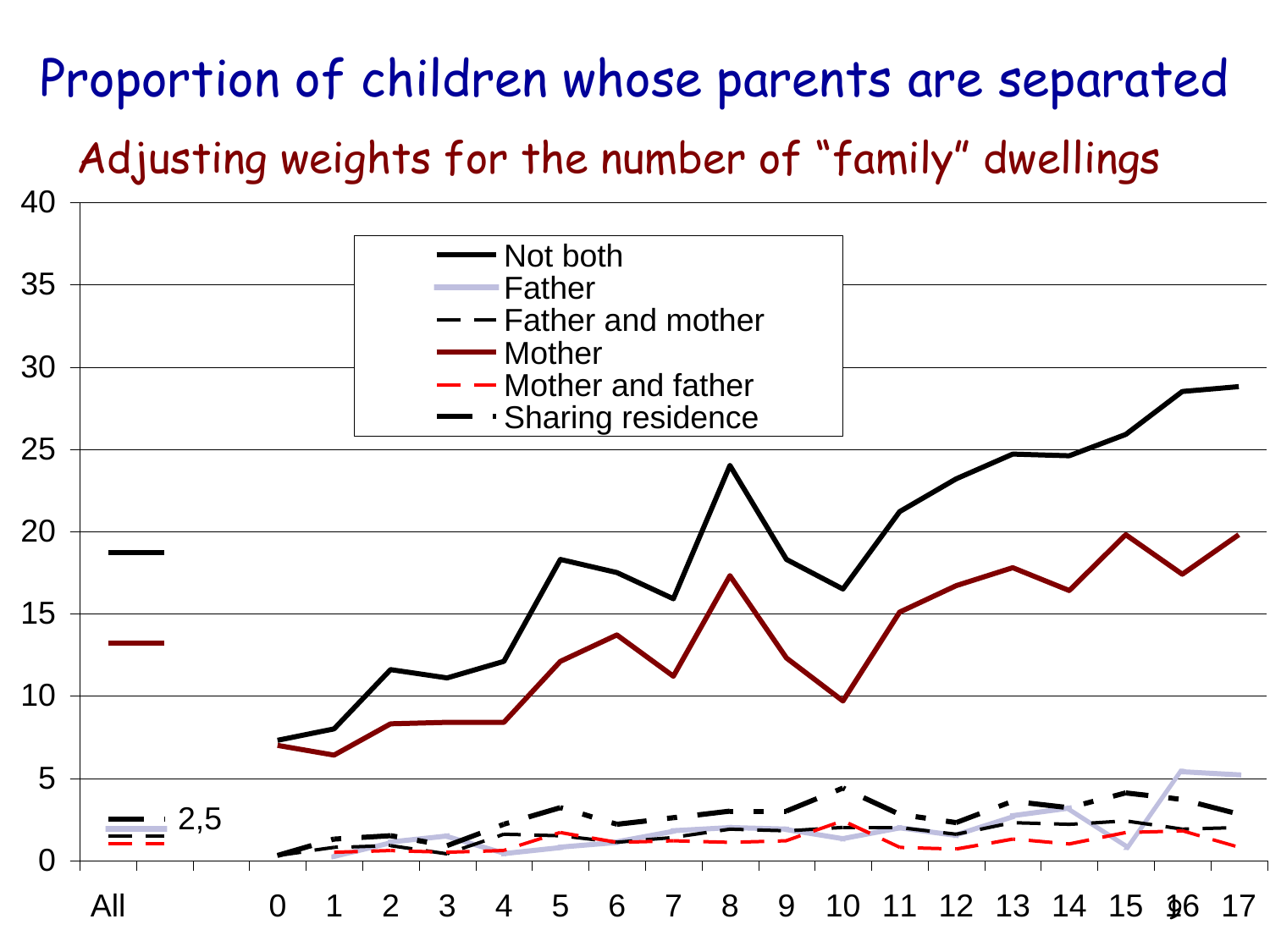#### Proportion of children whose parents are separated

Adjusting weights for the number of "family" dwellings

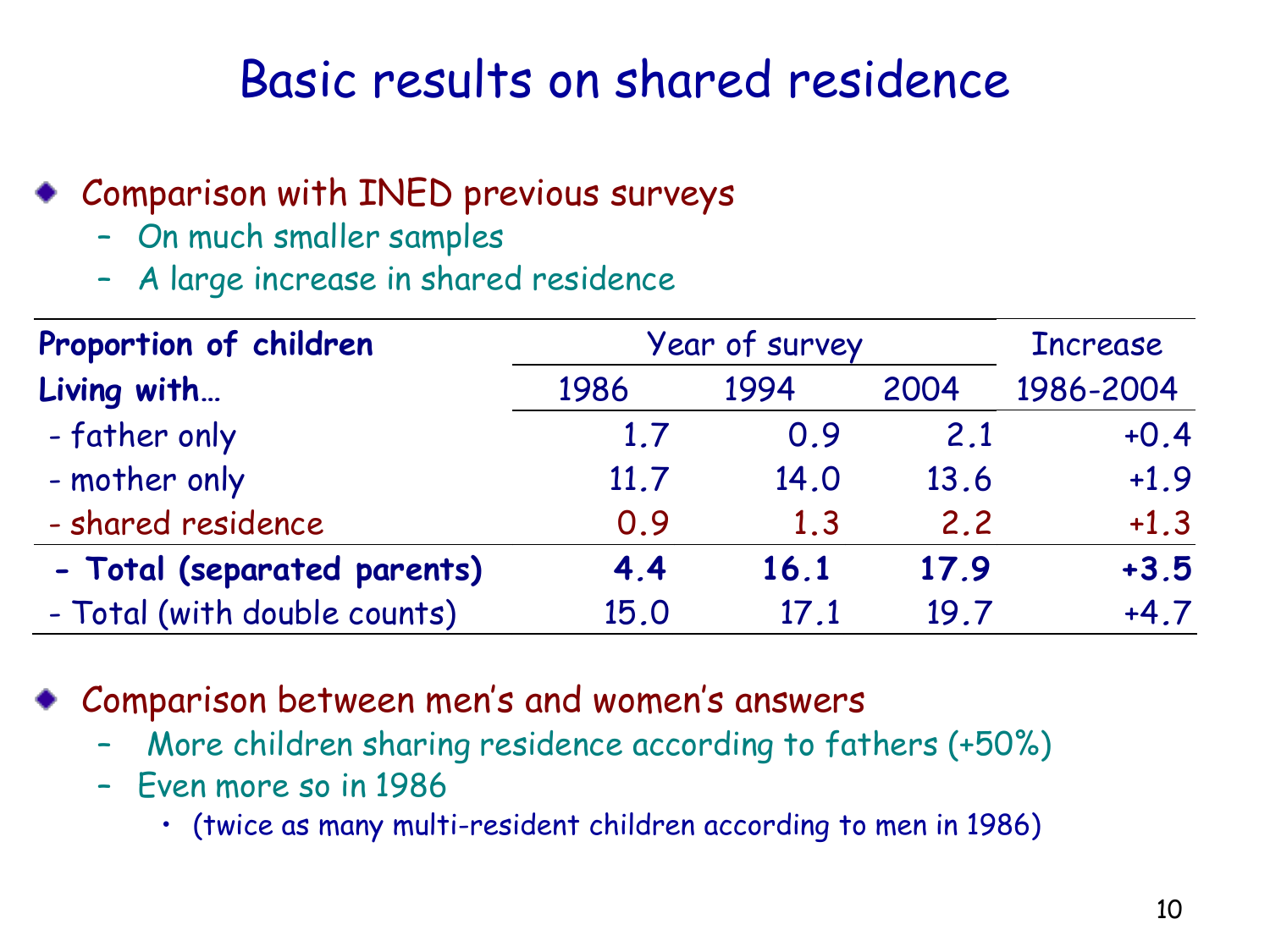#### Basic results on shared residence

- Comparison with INED previous surveys
	- On much smaller samples
	- A large increase in shared residence

| Proportion of children                                                                                                                                                                                      | Year of survey |      |      |           |  |  |  |  |
|-------------------------------------------------------------------------------------------------------------------------------------------------------------------------------------------------------------|----------------|------|------|-----------|--|--|--|--|
| Living with                                                                                                                                                                                                 | 1986           | 1994 | 2004 | 1986-2004 |  |  |  |  |
| - father only                                                                                                                                                                                               | 1.7            | 0.9  | 2.1  | $+0.4$    |  |  |  |  |
| - mother only                                                                                                                                                                                               | 11.7           | 14.0 | 13.6 | $+1.9$    |  |  |  |  |
| - shared residence                                                                                                                                                                                          | 0.9            | 1.3  | 2.2  | $+1.3$    |  |  |  |  |
| - Total (separated parents)                                                                                                                                                                                 | 4.4            | 16.1 | 17.9 | $+3.5$    |  |  |  |  |
| - Total (with double counts)                                                                                                                                                                                | 15.0           | 17.1 | 19.7 | $+4.7$    |  |  |  |  |
| Comparison between men's and women's answers<br>More children sharing residence according to fathers (+50%)<br>- Even more so in 1986<br>• (twice as many multi-resident children according to men in 1986) |                |      |      |           |  |  |  |  |

- Comparison between men's and women's answers
	- More children sharing residence according to fathers (+50%)
	- Even more so in 1986
		-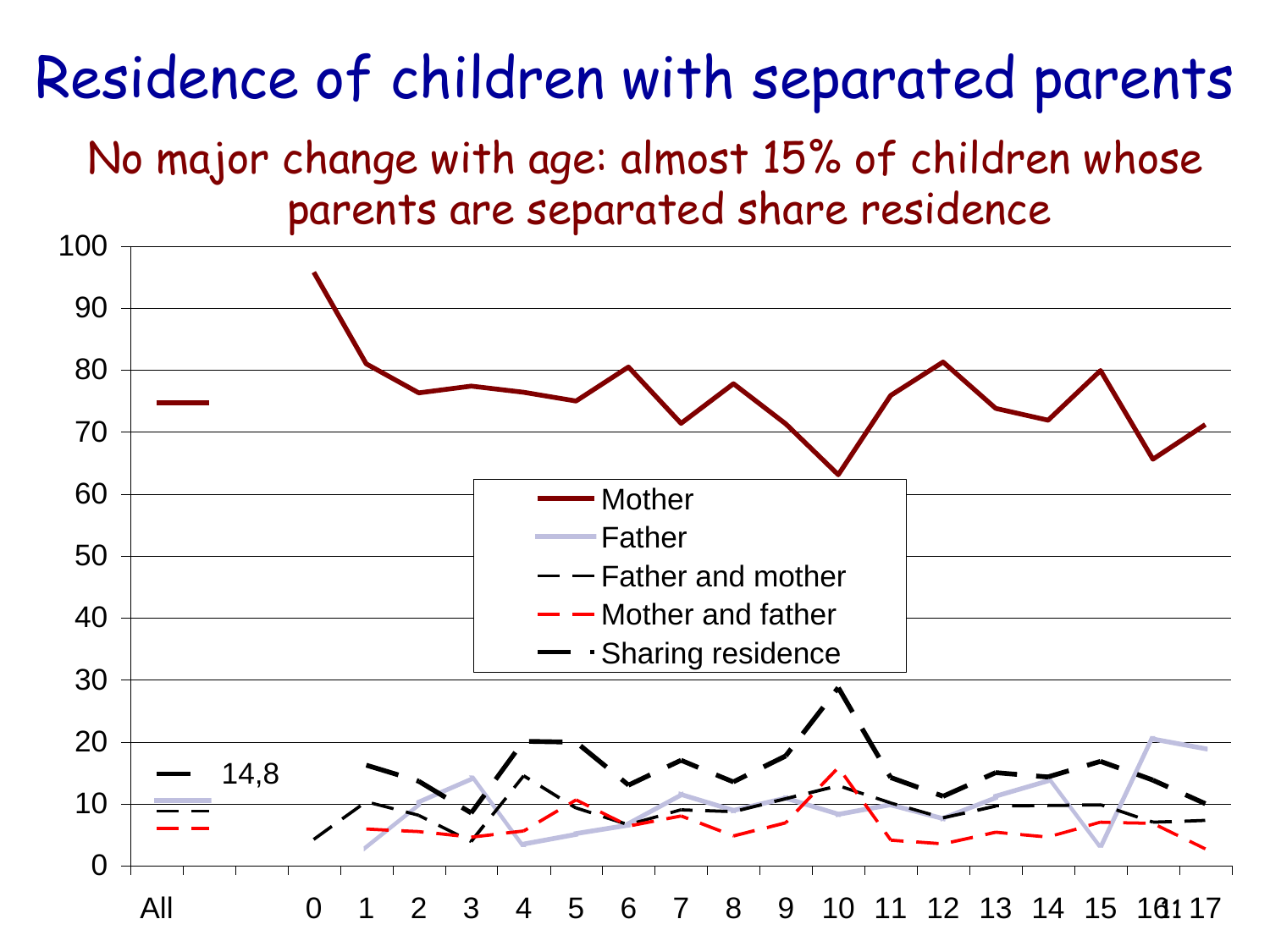### Residence of children with separated parents

No major change with age: almost 15% of children whose parents are separated share residence

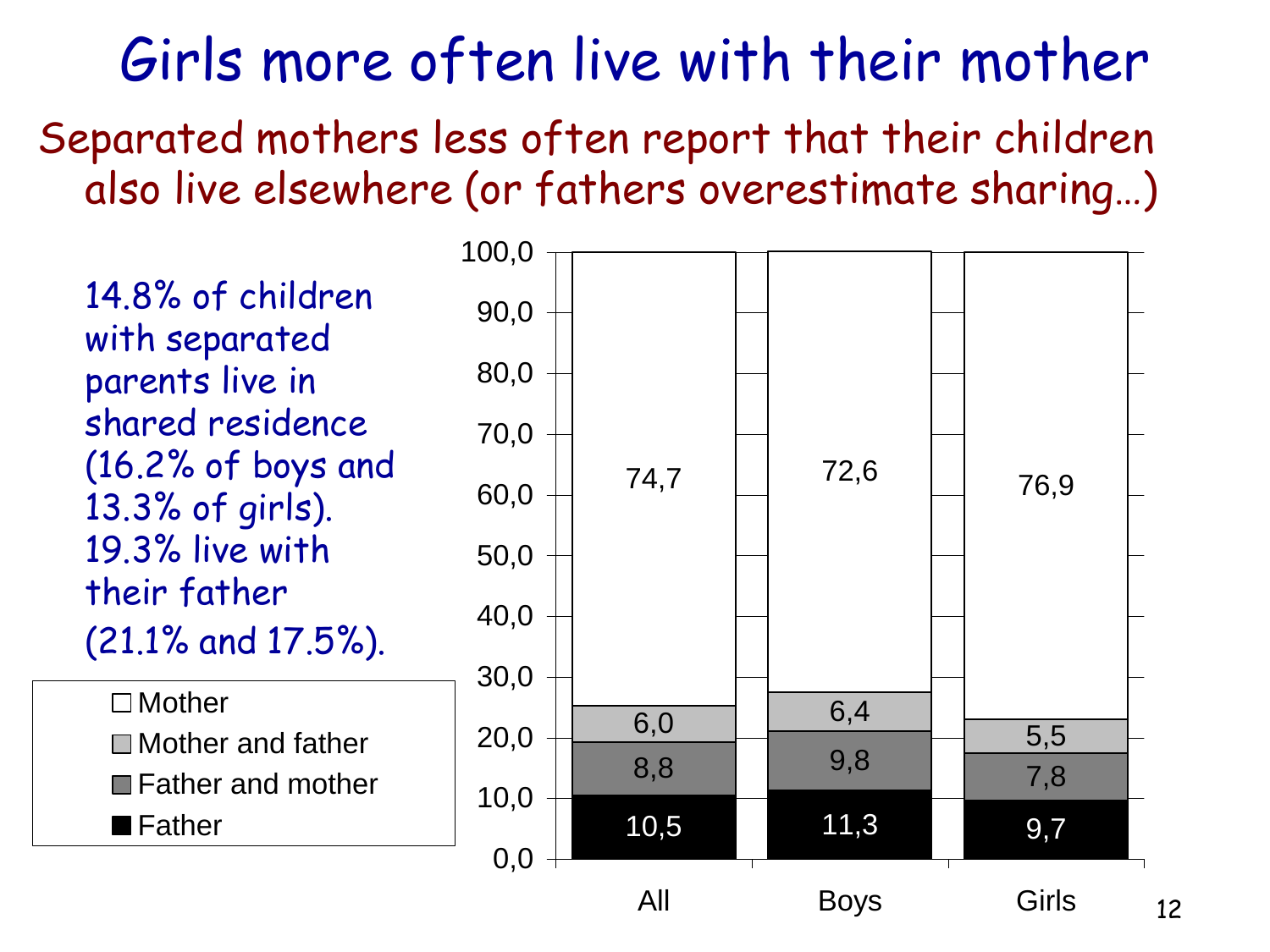Girls more often live with their mother Separated mothers less often report that their children also live elsewhere (or fathers overestimate sharing…)

14.8% of children with separated parents live in shared residence (16.2% of boys and 13.3% of girls). 19.3% live with their father (21.1% and 17.5%).

□ Mother ■Mother and father **■Father and mother** ■ Father

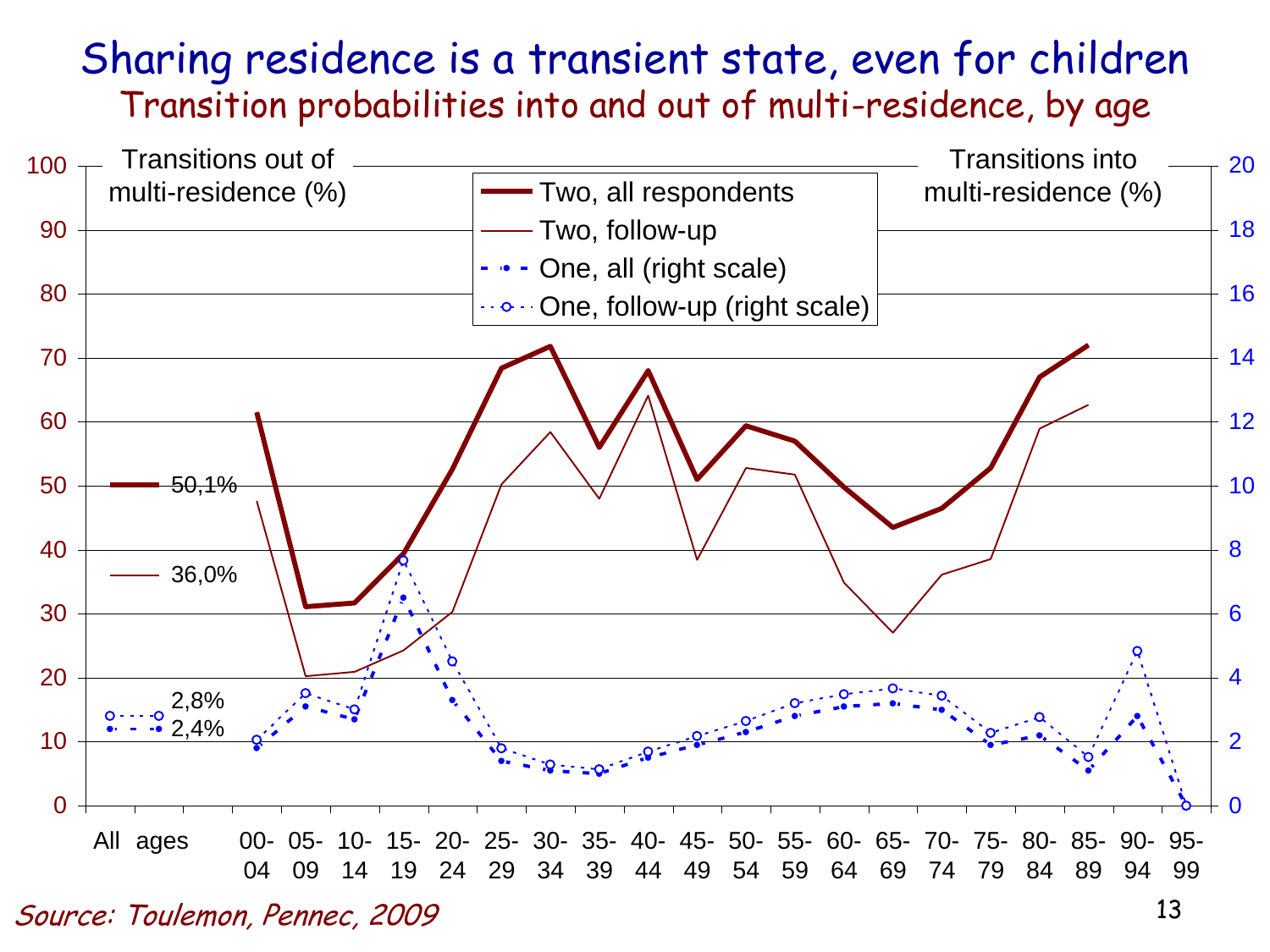#### Sharing residence is a transient state, even for children Transition probabilities into and out of multi-residence, by age



Source: Toulemon, Pennec, 2009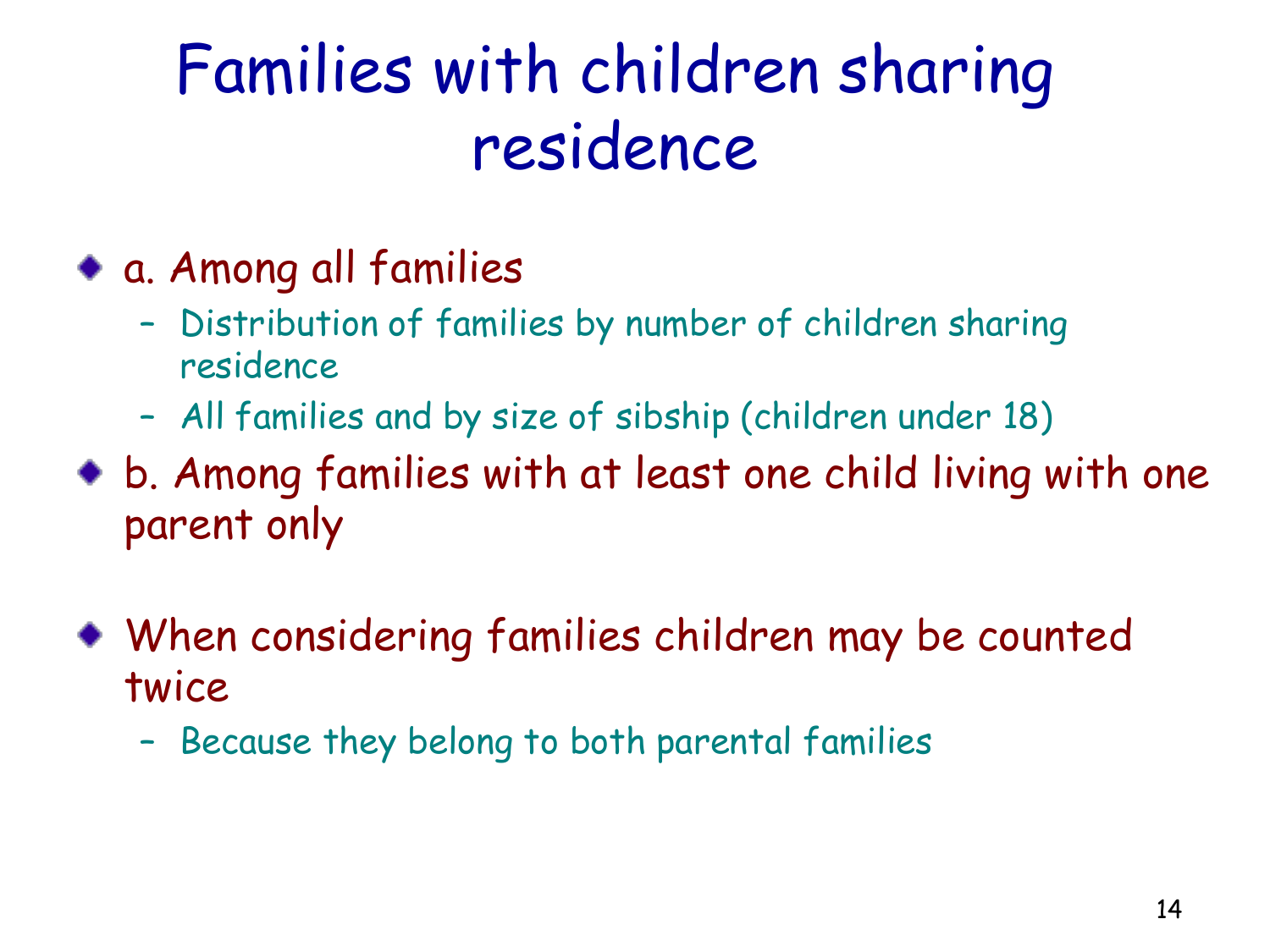### Families with children sharing residence

- a. Among all families
	- Distribution of families by number of children sharing residence
	- All families and by size of sibship (children under 18)
- b. Among families with at least one child living with one parent only
- When considering families children may be counted twice
	- Because they belong to both parental families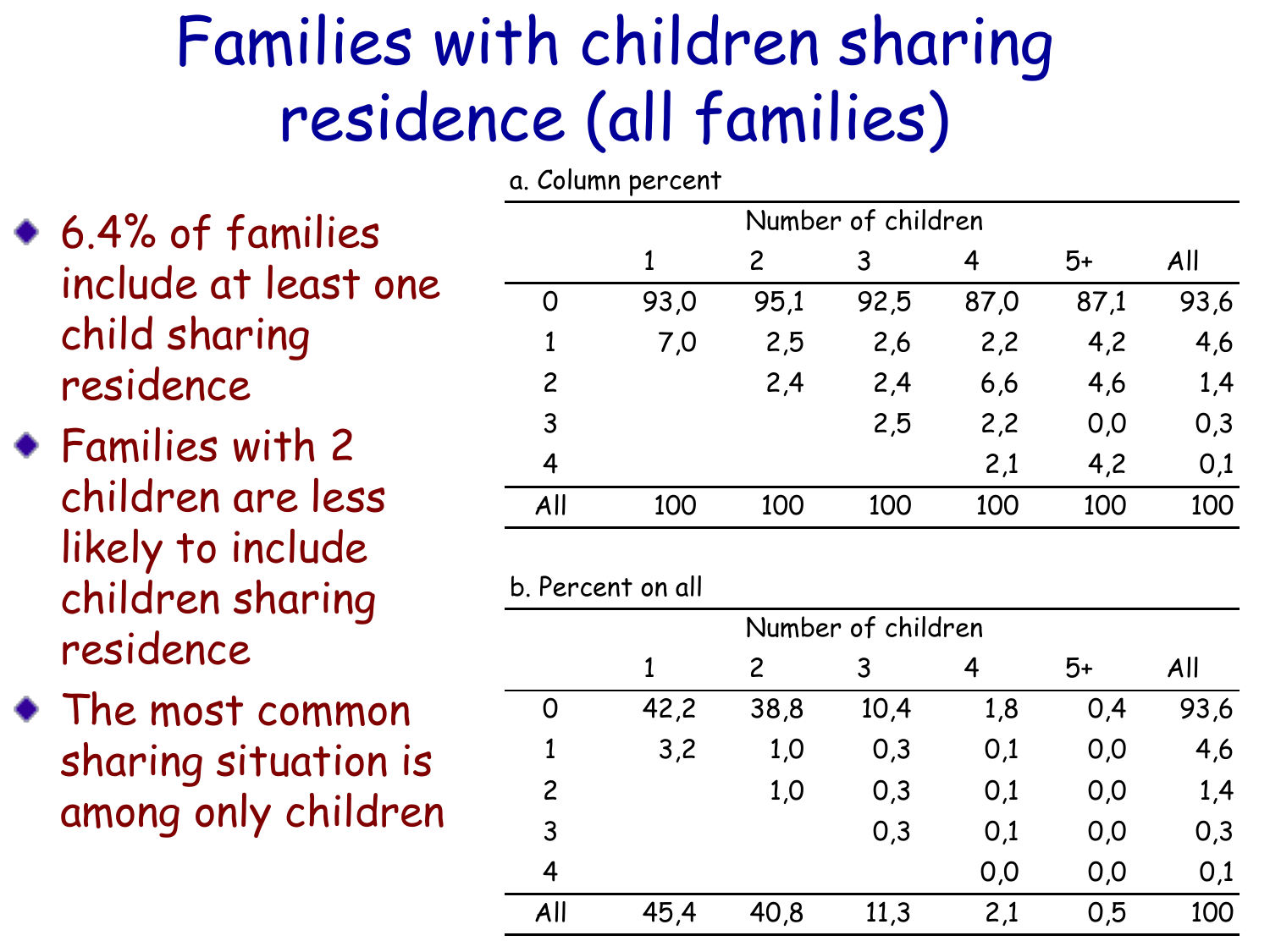## Families with children sharing residence (all families)

- 6.4% of families include at least one child sharing residence
- Families with 2 children are less likely to include children sharing residence 6.4% of families<br>
include at least one<br>
child sharing<br>
residence<br>
Families with 2<br>
children are less<br>
likely to include<br>
children sharing<br>
residence<br>
The most common<br>
sharing situation is<br>
sharing situation is<br>
among only
- The most common sharing situation is

| Number of children |      |      |      |      |      |      |
|--------------------|------|------|------|------|------|------|
|                    | 1    | 2    | 3    | 4    | $5+$ | All  |
| O                  | 93,0 | 95,1 | 92,5 | 87,0 | 87,1 | 93,6 |
| $\mathbf{1}$       | 7,0  | 2,5  | 2,6  | 2,2  | 4,2  | 4,6  |
| $\overline{c}$     |      | 2,4  | 2,4  | 6,6  | 4,6  | 1,4  |
| 3                  |      |      | 2,5  | 2,2  | 0,0  | 0,3  |
| 4                  |      |      |      | 2,1  | 4,2  | 0,1  |
| All                | 100  | 100  | 100  | 100  | 100  | 100  |
|                    |      |      |      |      |      |      |

#### b. Percent on all

| Number of children |      |                |      |     |      |      |  |
|--------------------|------|----------------|------|-----|------|------|--|
|                    |      | $\overline{c}$ | 3    | 4   | $5+$ | All  |  |
| 0                  | 42,2 | 38,8           | 10,4 | 1,8 | 0,4  | 93,6 |  |
| 1                  | 3,2  | 1,0            | 0,3  | 0,1 | 0,0  | 4,6  |  |
| $\overline{2}$     |      | 1,0            | 0,3  | 0,1 | 0,0  | 1,4  |  |
| 3                  |      |                | 0,3  | 0,1 | 0,0  | 0,3  |  |
| 4                  |      |                |      | 0,0 | 0,0  | 0,1  |  |
| All                | 45,4 | 40,8           | 11,3 | 2,1 | 0,5  | 100  |  |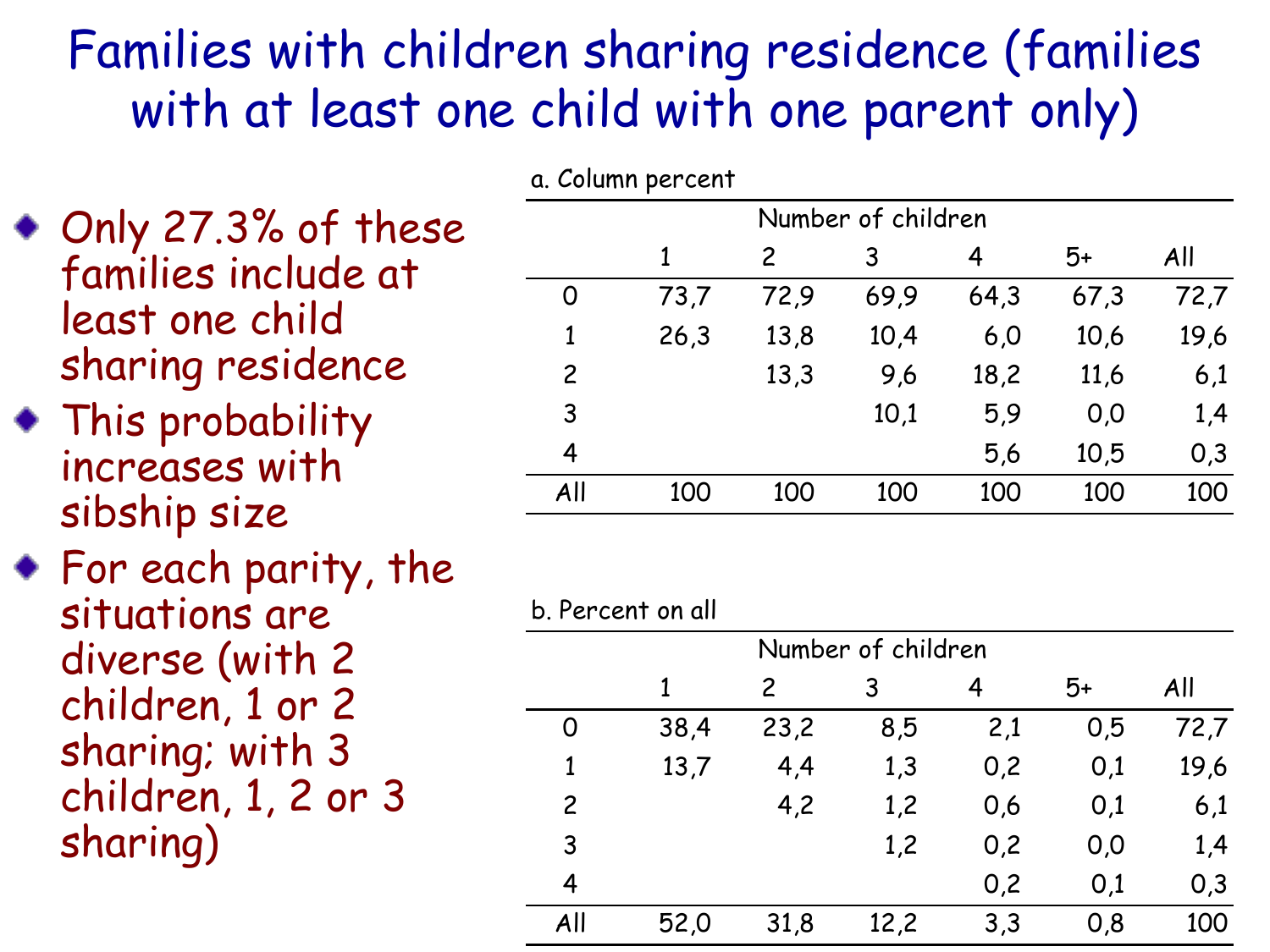#### Families with children sharing residence (families with at least one child with one parent only)

- Only 27.3% of these families include at least one child sharing residence
- This probability increases with sibship size
- For each parity, the situations are diverse (with 2 children, 1 or 2 sharing; with 3 children, 1, 2 or 3 Only 27.3% of these<br>
families include at<br>
least one child<br>
sharing residence<br>
This probability<br>
increases with<br>
sibship size<br>
For each parity, the<br>
situations are<br>
diverse (with 2<br>
children, 1 or 2<br>
sharing; with 3<br>
child

|                | a. Column per cent |                |      |      |      |      |  |  |  |
|----------------|--------------------|----------------|------|------|------|------|--|--|--|
|                | Number of children |                |      |      |      |      |  |  |  |
|                | 1                  | $\overline{c}$ | 3    | 4    | 5+   | All  |  |  |  |
| 0              | 73,7               | 72,9           | 69,9 | 64,3 | 67,3 | 72,7 |  |  |  |
| 1              | 26,3               | 13,8           | 10,4 | 6,0  | 10,6 | 19,6 |  |  |  |
| $\overline{c}$ |                    | 13,3           | 9,6  | 18,2 | 11,6 | 6,1  |  |  |  |
| 3              |                    |                | 10,1 | 5,9  | 0,0  | 1,4  |  |  |  |
| 4              |                    |                |      | 5,6  | 10,5 | 0,3  |  |  |  |
| All            | 100                | 100            | 100  | 100  | 100  | 100  |  |  |  |
|                |                    |                |      |      |      |      |  |  |  |

| Number of children |      |      |      |     |     |      |  |
|--------------------|------|------|------|-----|-----|------|--|
|                    |      | 2    | 3    | 4   | 5+  | All  |  |
| O                  | 38,4 | 23,2 | 8,5  | 2,1 | 0,5 | 72,7 |  |
| $\mathbf{1}$       | 13,7 | 4,4  | 1,3  | 0,2 | 0,1 | 19,6 |  |
| $\overline{2}$     |      | 4,2  | 1,2  | 0,6 | 0,1 | 6,1  |  |
| 3                  |      |      | 1,2  | 0,2 | 0,0 | 1,4  |  |
| $\overline{4}$     |      |      |      | 0,2 | 0,1 | 0,3  |  |
| All                | 52,0 | 31,8 | 12,2 | 3,3 | 0,8 | 100  |  |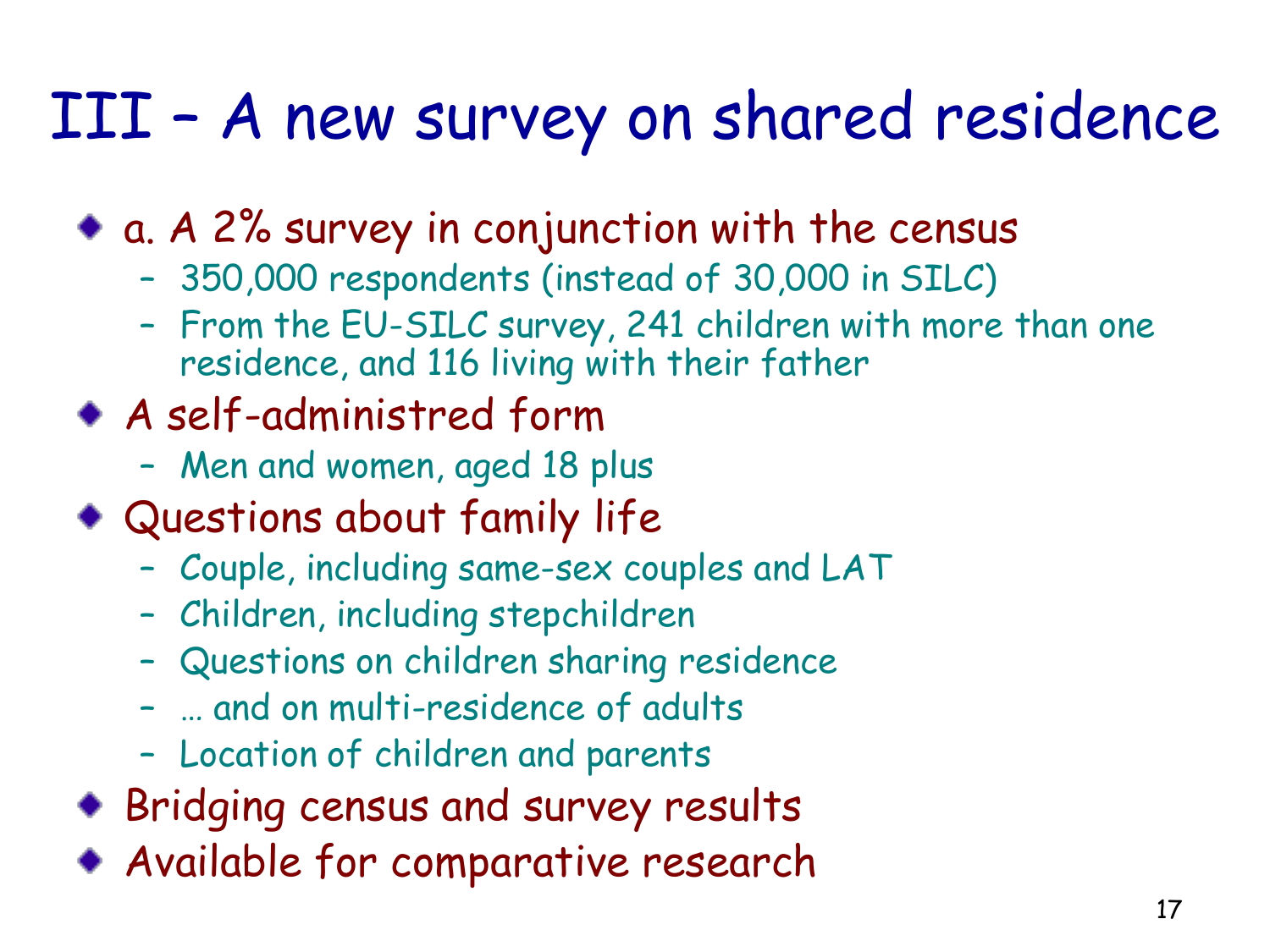### III – A new survey on shared residence

a. A 2% survey in conjunction with the census

- 350,000 respondents (instead of 30,000 in SILC)
- From the EU-SILC survey, 241 children with more than one residence, and 116 living with their father
- A self-administred form
	- Men and women, aged 18 plus
- Questions about family life
	- Couple, including same-sex couples and LAT
	- Children, including stepchildren
	- Questions on children sharing residence
	- … and on multi-residence of adults
	- Location of children and parents
- Bridging census and survey results
- Available for comparative research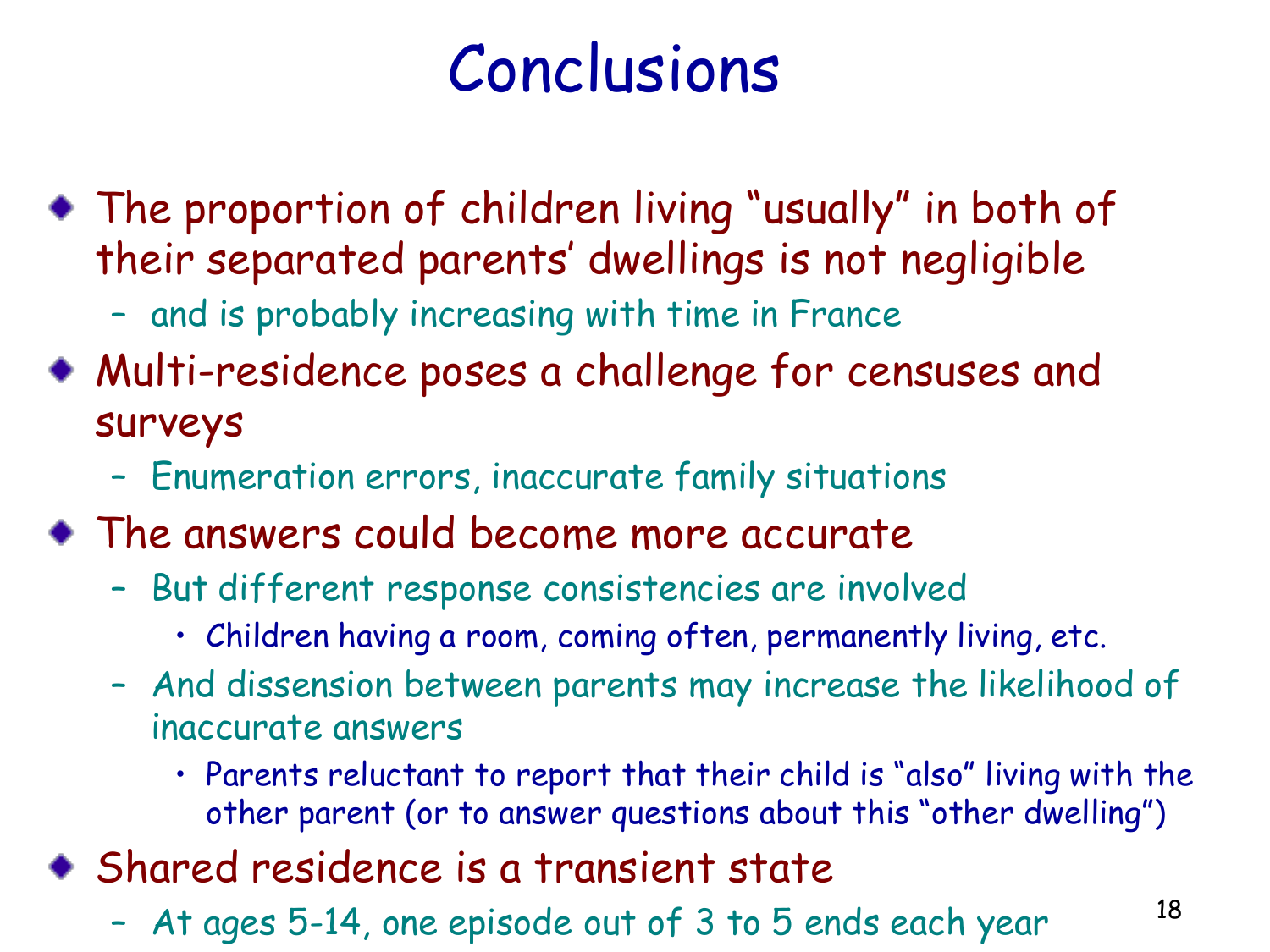### Conclusions

- The proportion of children living "usually" in both of their separated parents' dwellings is not negligible
	- and is probably increasing with time in France
- Multi-residence poses a challenge for censuses and surveys
	- Enumeration errors, inaccurate family situations
- The answers could become more accurate
	- But different response consistencies are involved
		- Children having a room, coming often, permanently living, etc.
	- And dissension between parents may increase the likelihood of inaccurate answers
		- Parents reluctant to report that their child is "also" living with the other parent (or to answer questions about this "other dwelling")
- Shared residence is a transient state
	- At ages 5-14, one episode out of 3 to 5 ends each year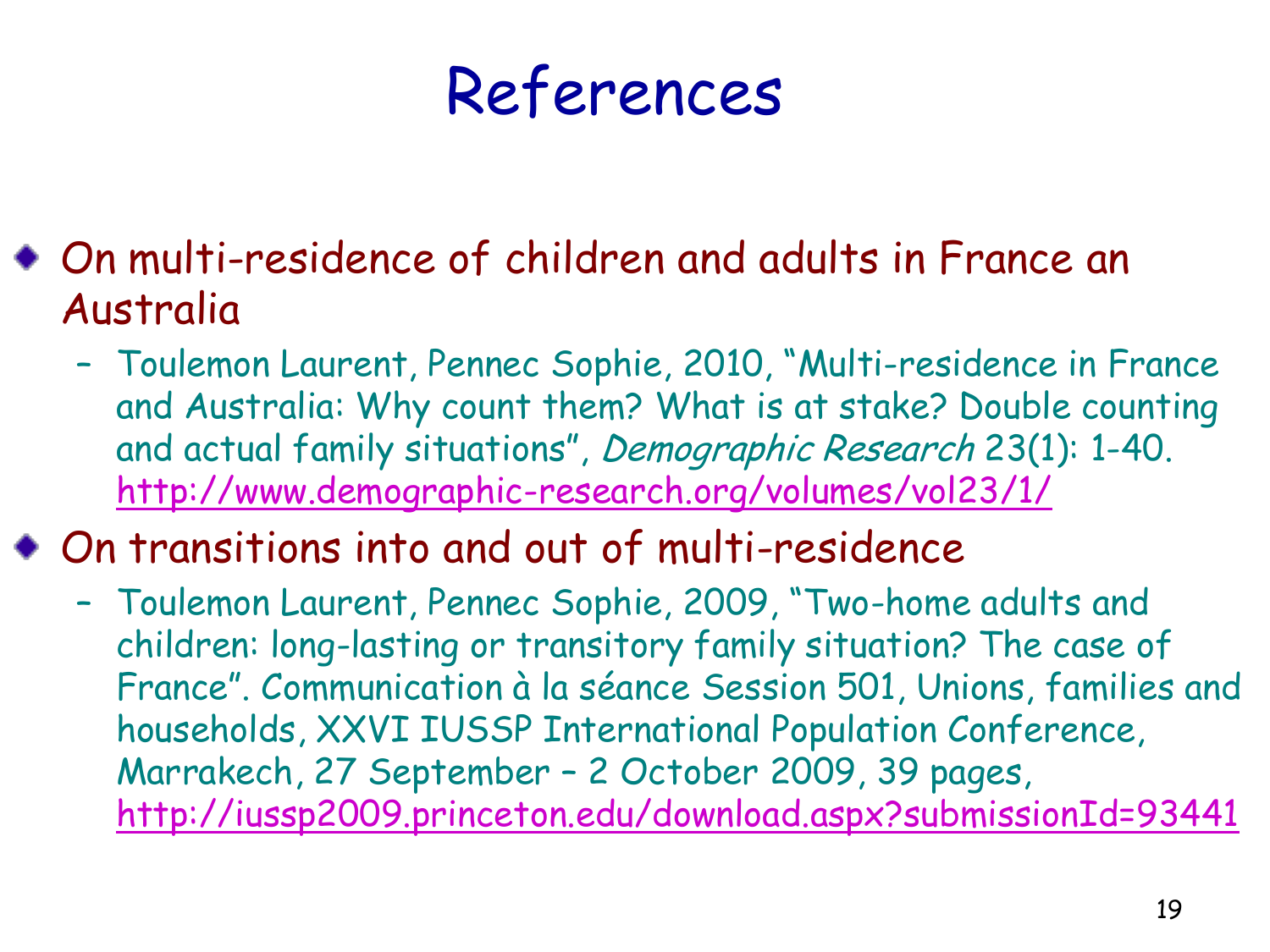### References

- On multi-residence of children and adults in France an Australia
	- Toulemon Laurent, Pennec Sophie, 2010, "Multi-residence in France and Australia: Why count them? What is at stake? Double counting and actual family situations", Demographic Research 23(1): 1-40. <http://www.demographic-research.org/volumes/vol23/1/>
- On transitions into and out of multi-residence
	- Toulemon Laurent, Pennec Sophie, 2009, "Two-home adults and children: long-lasting or transitory family situation? The case of France". Communication à la séance Session 501, Unions, families and households, XXVI IUSSP International Population Conference, Marrakech, 27 September – 2 October 2009, 39 pages, <http://iussp2009.princeton.edu/download.aspx?submissionId=93441>